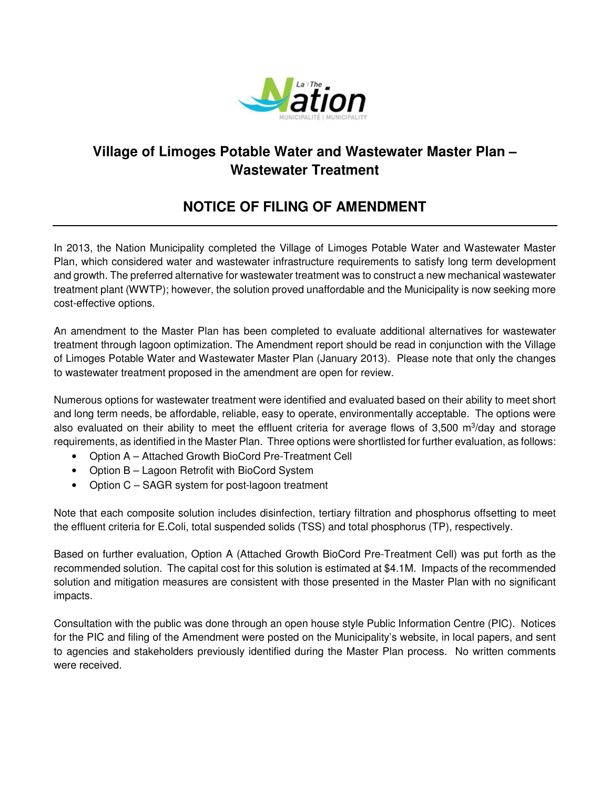

## **Village of Limoges Potable Water and Wastewater Master Plan – Wastewater Treatment**

## **NOTICE OF FILING OF AMENDMENT**

In 2013, the Nation Municipality completed the Village of Limoges Potable Water and Wastewater Master Plan, which considered water and wastewater infrastructure requirements to satisfy long term development and growth. The preferred alternative for wastewater treatment was to construct a new mechanical wastewater treatment plant (WWTP); however, the solution proved unaffordable and the Municipality is now seeking more cost-effective options.

An amendment to the Master Plan has been completed to evaluate additional alternatives for wastewater treatment through lagoon optimization. The Amendment report should be read in conjunction with the Village of Limoges Potable Water and Wastewater Master Plan (January 2013). Please note that only the changes to wastewater treatment proposed in the amendment are open for review.

Numerous options for wastewater treatment were identified and evaluated based on their ability to meet short and long term needs, be affordable, reliable, easy to operate, environmentally acceptable. The options were also evaluated on their ability to meet the effluent criteria for average flows of 3,500 m<sup>3</sup>/day and storage requirements, as identified in the Master Plan. Three options were shortlisted for further evaluation, as follows:

- Option A Attached Growth BioCord Pre-Treatment Cell
- Option B Lagoon Retrofit with BioCord System
- Option C SAGR system for post-lagoon treatment

Note that each composite solution includes disinfection, tertiary filtration and phosphorus offsetting to meet the effluent criteria for E.Coli, total suspended solids (TSS) and total phosphorus (TP), respectively.

Based on further evaluation, Option A (Attached Growth BioCord Pre-Treatment Cell) was put forth as the recommended solution. The capital cost for this solution is estimated at \$4.1M. Impacts of the recommended solution and mitigation measures are consistent with those presented in the Master Plan with no significant impacts.

Consultation with the public was done through an open house style Public Information Centre (PIC). Notices for the PIC and filing of the Amendment were posted on the Municipality's website, in local papers, and sent to agencies and stakeholders previously identified during the Master Plan process. No written comments were received.